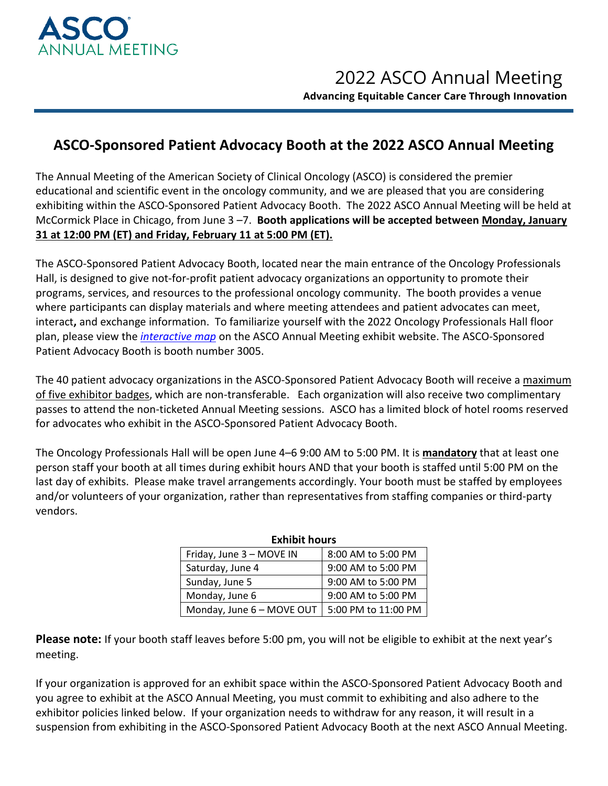

## **ASCO-Sponsored Patient Advocacy Booth at the 2022 ASCO Annual Meeting**

The Annual Meeting of the American Society of Clinical Oncology (ASCO) is considered the premier educational and scientific event in the oncology community, and we are pleased that you are considering exhibiting within the ASCO-Sponsored Patient Advocacy Booth. The 2022 ASCO Annual Meeting will be held at McCormick Place in Chicago, from June 3 –7. **Booth applications will be accepted between Monday, January 31 at 12:00 PM (ET) and Friday, February 11 at 5:00 PM (ET).**

The ASCO-Sponsored Patient Advocacy Booth, located near the main entrance of the Oncology Professionals Hall, is designed to give not-for-profit patient advocacy organizations an opportunity to promote their programs, services, and resources to the professional oncology community. The booth provides a venue where participants can display materials and where meeting attendees and patient advocates can meet, interact**,** and exchange information. To familiarize yourself with the 2022 Oncology Professionals Hall floor plan, please view the *[interactive map](https://events.jspargo.com/asco22/Public/eventmap.aspx?ID=90456&shmode=E&shExhList=1&sortMenu=102001)* on the ASCO Annual Meeting exhibit website. The ASCO-Sponsored Patient Advocacy Booth is booth number 3005.

The 40 patient advocacy organizations in the ASCO-Sponsored Patient Advocacy Booth will receive a maximum of five exhibitor badges, which are non-transferable. Each organization will also receive two complimentary passes to attend the non-ticketed Annual Meeting sessions. ASCO has a limited block of hotel rooms reserved for advocates who exhibit in the ASCO-Sponsored Patient Advocacy Booth.

The Oncology Professionals Hall will be open June 4–6 9:00 AM to 5:00 PM. It is **mandatory** that at least one person staff your booth at all times during exhibit hours AND that your booth is staffed until 5:00 PM on the last day of exhibits. Please make travel arrangements accordingly. Your booth must be staffed by employees and/or volunteers of your organization, rather than representatives from staffing companies or third-party vendors.

| Exhibit hours             |                     |
|---------------------------|---------------------|
| Friday, June 3 - MOVE IN  | 8:00 AM to 5:00 PM  |
| Saturday, June 4          | 9:00 AM to 5:00 PM  |
| Sunday, June 5            | 9:00 AM to 5:00 PM  |
| Monday, June 6            | 9:00 AM to 5:00 PM  |
| Monday, June 6 - MOVE OUT | 5:00 PM to 11:00 PM |

## **Exhibit hours**

**Please note:** If your booth staff leaves before 5:00 pm, you will not be eligible to exhibit at the next year's meeting.

If your organization is approved for an exhibit space within the ASCO-Sponsored Patient Advocacy Booth and you agree to exhibit at the ASCO Annual Meeting, you must commit to exhibiting and also adhere to the exhibitor policies linked below. If your organization needs to withdraw for any reason, it will result in a suspension from exhibiting in the ASCO-Sponsored Patient Advocacy Booth at the next ASCO Annual Meeting.